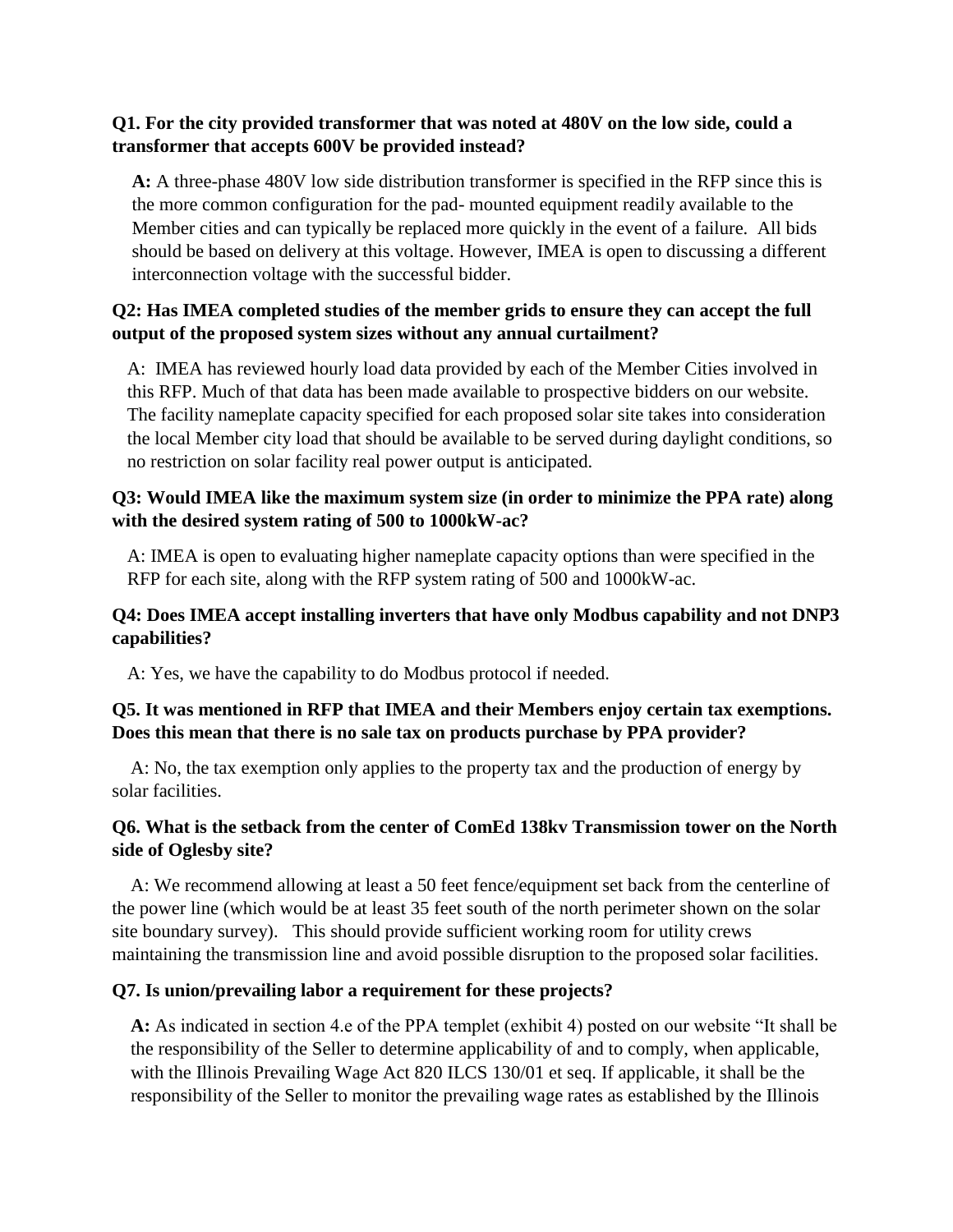## **Q1. For the city provided transformer that was noted at 480V on the low side, could a transformer that accepts 600V be provided instead?**

**A:** A three-phase 480V low side distribution transformer is specified in the RFP since this is the more common configuration for the pad- mounted equipment readily available to the Member cities and can typically be replaced more quickly in the event of a failure. All bids should be based on delivery at this voltage. However, IMEA is open to discussing a different interconnection voltage with the successful bidder.

# **Q2: Has IMEA completed studies of the member grids to ensure they can accept the full output of the proposed system sizes without any annual curtailment?**

A: IMEA has reviewed hourly load data provided by each of the Member Cities involved in this RFP. Much of that data has been made available to prospective bidders on our website. The facility nameplate capacity specified for each proposed solar site takes into consideration the local Member city load that should be available to be served during daylight conditions, so no restriction on solar facility real power output is anticipated.

## **Q3: Would IMEA like the maximum system size (in order to minimize the PPA rate) along with the desired system rating of 500 to 1000kW-ac?**

A: IMEA is open to evaluating higher nameplate capacity options than were specified in the RFP for each site, along with the RFP system rating of 500 and 1000kW-ac.

## **Q4: Does IMEA accept installing inverters that have only Modbus capability and not DNP3 capabilities?**

A: Yes, we have the capability to do Modbus protocol if needed.

## **Q5. It was mentioned in RFP that IMEA and their Members enjoy certain tax exemptions. Does this mean that there is no sale tax on products purchase by PPA provider?**

 A: No, the tax exemption only applies to the property tax and the production of energy by solar facilities.

## **Q6. What is the setback from the center of ComEd 138kv Transmission tower on the North side of Oglesby site?**

 A: We recommend allowing at least a 50 feet fence/equipment set back from the centerline of the power line (which would be at least 35 feet south of the north perimeter shown on the solar site boundary survey). This should provide sufficient working room for utility crews maintaining the transmission line and avoid possible disruption to the proposed solar facilities.

## **Q7. Is union/prevailing labor a requirement for these projects?**

**A:** As indicated in section 4.e of the PPA templet (exhibit 4) posted on our website "It shall be the responsibility of the Seller to determine applicability of and to comply, when applicable, with the Illinois Prevailing Wage Act 820 ILCS 130/01 et seq. If applicable, it shall be the responsibility of the Seller to monitor the prevailing wage rates as established by the Illinois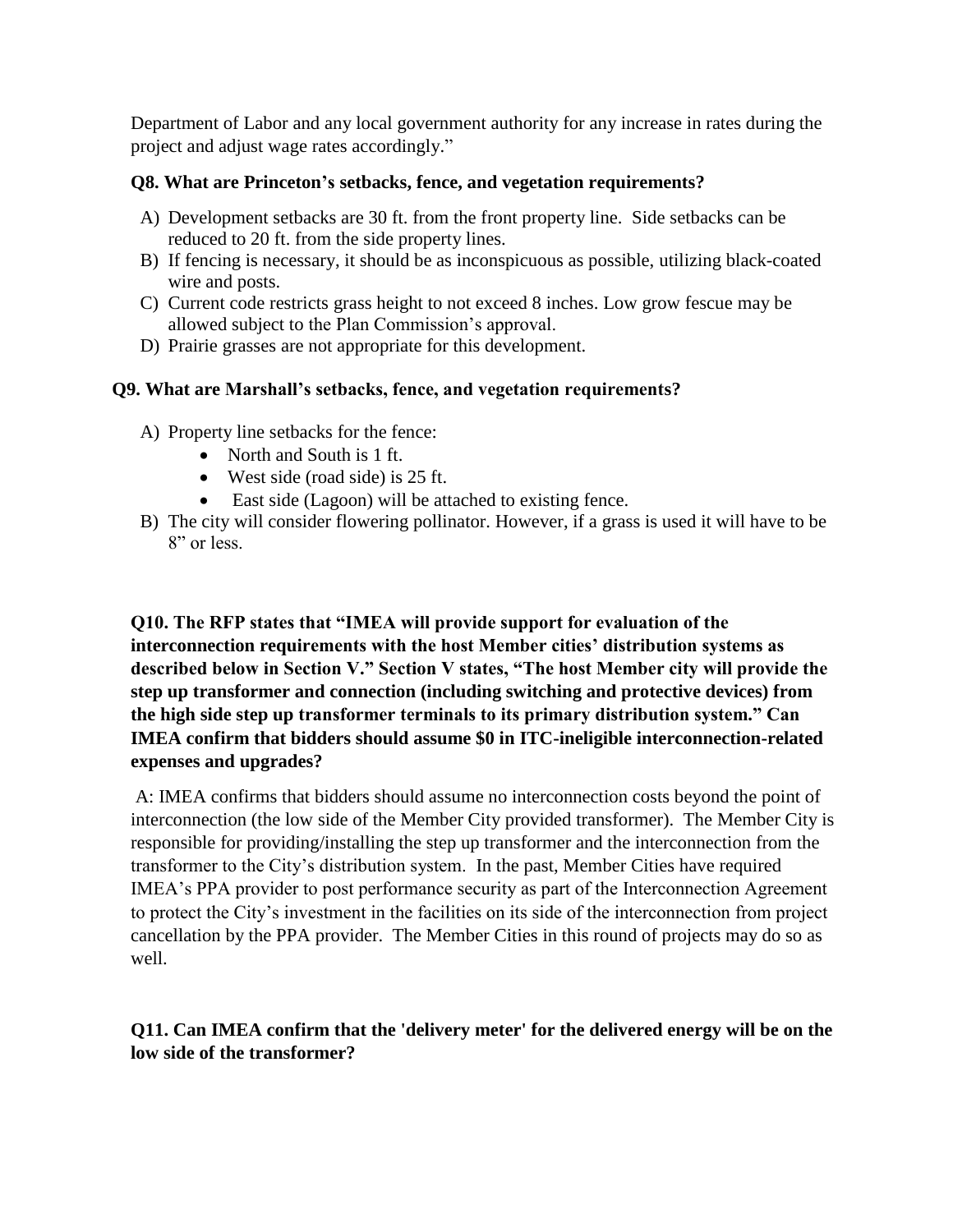Department of Labor and any local government authority for any increase in rates during the project and adjust wage rates accordingly."

#### **Q8. What are Princeton's setbacks, fence, and vegetation requirements?**

- A) Development setbacks are 30 ft. from the front property line. Side setbacks can be reduced to 20 ft. from the side property lines.
- B) If fencing is necessary, it should be as inconspicuous as possible, utilizing black-coated wire and posts.
- C) Current code restricts grass height to not exceed 8 inches. Low grow fescue may be allowed subject to the Plan Commission's approval.
- D) Prairie grasses are not appropriate for this development.

## **Q9. What are Marshall's setbacks, fence, and vegetation requirements?**

- A) Property line setbacks for the fence:
	- North and South is 1 ft.
	- West side (road side) is 25 ft.
	- East side (Lagoon) will be attached to existing fence.
- B) The city will consider flowering pollinator. However, if a grass is used it will have to be 8" or less.

**Q10. The RFP states that "IMEA will provide support for evaluation of the interconnection requirements with the host Member cities' distribution systems as described below in Section V." Section V states, "The host Member city will provide the step up transformer and connection (including switching and protective devices) from the high side step up transformer terminals to its primary distribution system." Can IMEA confirm that bidders should assume \$0 in ITC-ineligible interconnection-related expenses and upgrades?**

A: IMEA confirms that bidders should assume no interconnection costs beyond the point of interconnection (the low side of the Member City provided transformer). The Member City is responsible for providing/installing the step up transformer and the interconnection from the transformer to the City's distribution system. In the past, Member Cities have required IMEA's PPA provider to post performance security as part of the Interconnection Agreement to protect the City's investment in the facilities on its side of the interconnection from project cancellation by the PPA provider. The Member Cities in this round of projects may do so as well.

**Q11. Can IMEA confirm that the 'delivery meter' for the delivered energy will be on the low side of the transformer?**